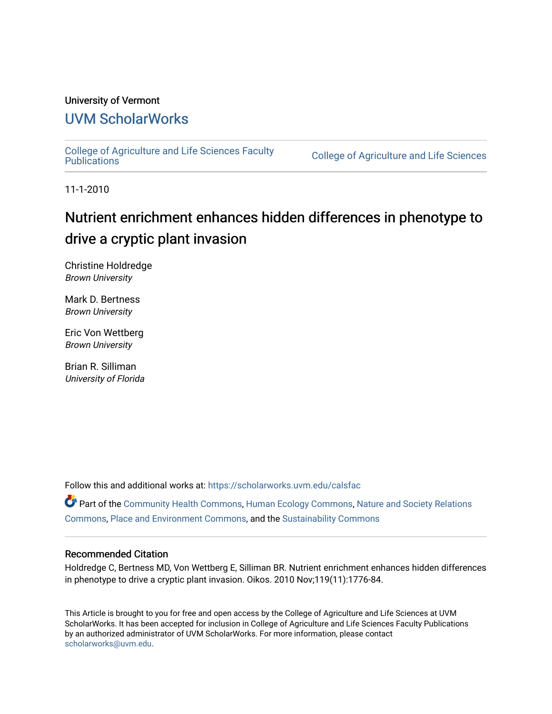## University of Vermont

# [UVM ScholarWorks](https://scholarworks.uvm.edu/)

[College of Agriculture and Life Sciences Faculty](https://scholarworks.uvm.edu/calsfac) 

**College of Agriculture and Life Sciences** 

11-1-2010

# Nutrient enrichment enhances hidden differences in phenotype to drive a cryptic plant invasion

Christine Holdredge Brown University

Mark D. Bertness Brown University

Eric Von Wettberg Brown University

Brian R. Silliman University of Florida

Follow this and additional works at: [https://scholarworks.uvm.edu/calsfac](https://scholarworks.uvm.edu/calsfac?utm_source=scholarworks.uvm.edu%2Fcalsfac%2F65&utm_medium=PDF&utm_campaign=PDFCoverPages)

Part of the [Community Health Commons,](http://network.bepress.com/hgg/discipline/714?utm_source=scholarworks.uvm.edu%2Fcalsfac%2F65&utm_medium=PDF&utm_campaign=PDFCoverPages) [Human Ecology Commons](http://network.bepress.com/hgg/discipline/1335?utm_source=scholarworks.uvm.edu%2Fcalsfac%2F65&utm_medium=PDF&utm_campaign=PDFCoverPages), [Nature and Society Relations](http://network.bepress.com/hgg/discipline/357?utm_source=scholarworks.uvm.edu%2Fcalsfac%2F65&utm_medium=PDF&utm_campaign=PDFCoverPages)  [Commons](http://network.bepress.com/hgg/discipline/357?utm_source=scholarworks.uvm.edu%2Fcalsfac%2F65&utm_medium=PDF&utm_campaign=PDFCoverPages), [Place and Environment Commons](http://network.bepress.com/hgg/discipline/424?utm_source=scholarworks.uvm.edu%2Fcalsfac%2F65&utm_medium=PDF&utm_campaign=PDFCoverPages), and the [Sustainability Commons](http://network.bepress.com/hgg/discipline/1031?utm_source=scholarworks.uvm.edu%2Fcalsfac%2F65&utm_medium=PDF&utm_campaign=PDFCoverPages)

### Recommended Citation

Holdredge C, Bertness MD, Von Wettberg E, Silliman BR. Nutrient enrichment enhances hidden differences in phenotype to drive a cryptic plant invasion. Oikos. 2010 Nov;119(11):1776-84.

This Article is brought to you for free and open access by the College of Agriculture and Life Sciences at UVM ScholarWorks. It has been accepted for inclusion in College of Agriculture and Life Sciences Faculty Publications by an authorized administrator of UVM ScholarWorks. For more information, please contact [scholarworks@uvm.edu](mailto:scholarworks@uvm.edu).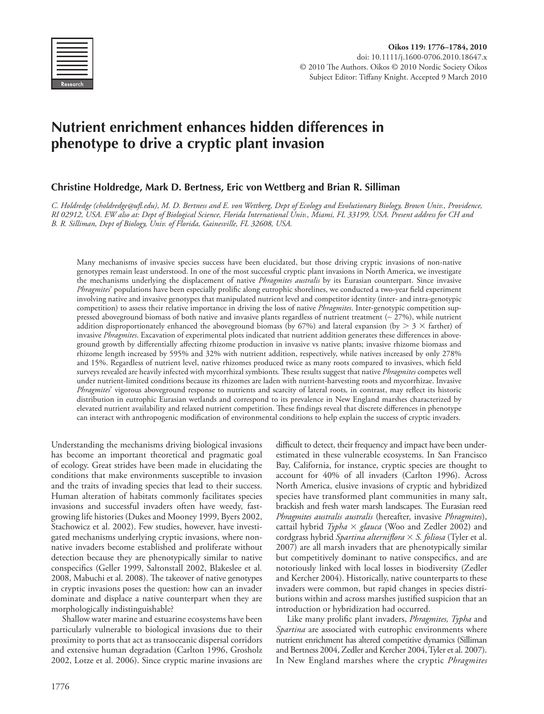

# **Nutrient enrichment enhances hidden differences in phenotype to drive a cryptic plant invasion**

## **Christine Holdredge , Mark D. Bertness , Eric von Wettberg and Brian R. Silliman**

 *C. Holdredge (choldredge@ufl .edu), M. D. Bertness and E. von Wettberg, Dept of Ecology and Evolutionary Biology, Brown Univ., Providence, RI 02912, USA. EW also at: Dept of Biological Science, Florida International Univ., Miami, FL 33199, USA. Present address for CH and B. R. Silliman, Dept of Biology, Univ. of Florida, Gainesville, FL 32608, USA.* 

 Many mechanisms of invasive species success have been elucidated, but those driving cryptic invasions of non-native genotypes remain least understood. In one of the most successful cryptic plant invasions in North America, we investigate the mechanisms underlying the displacement of native *Phragmites australis* by its Eurasian counterpart. Since invasive *Phragmites*' populations have been especially prolific along eutrophic shorelines, we conducted a two-year field experiment involving native and invasive genotypes that manipulated nutrient level and competitor identity (inter- and intra-genotypic competition) to assess their relative importance in driving the loss of native *Phragmites* . Inter-genotypic competition suppressed aboveground biomass of both native and invasive plants regardless of nutrient treatment ( ∼ 27%), while nutrient addition disproportionately enhanced the aboveground biomass (by 67%) and lateral expansion (by  $> 3 \times$  farther) of invasive *Phragmites*. Excavation of experimental plots indicated that nutrient addition generates these differences in aboveground growth by differentially affecting rhizome production in invasive vs native plants; invasive rhizome biomass and rhizome length increased by 595% and 32% with nutrient addition, respectively, while natives increased by only 278% and 15%. Regardless of nutrient level, native rhizomes produced twice as many roots compared to invasives, which field surveys revealed are heavily infected with mycorrhizal symbionts. These results suggest that native *Phragmites* competes well under nutrient-limited conditions because its rhizomes are laden with nutrient-harvesting roots and mycorrhizae. Invasive *Phragmites*' vigorous aboveground response to nutrients and scarcity of lateral roots, in contrast, may reflect its historic distribution in eutrophic Eurasian wetlands and correspond to its prevalence in New England marshes characterized by elevated nutrient availability and relaxed nutrient competition. These findings reveal that discrete differences in phenotype can interact with anthropogenic modification of environmental conditions to help explain the success of cryptic invaders.

 Understanding the mechanisms driving biological invasions has become an important theoretical and pragmatic goal of ecology. Great strides have been made in elucidating the conditions that make environments susceptible to invasion and the traits of invading species that lead to their success. Human alteration of habitats commonly facilitates species invasions and successful invaders often have weedy, fastgrowing life histories (Dukes and Mooney 1999, Byers 2002, Stachowicz et al. 2002). Few studies, however, have investigated mechanisms underlying cryptic invasions, where nonnative invaders become established and proliferate without detection because they are phenotypically similar to native conspecifics (Geller 1999, Saltonstall 2002, Blakeslee et al. 2008, Mabuchi et al. 2008). The takeover of native genotypes in cryptic invasions poses the question: how can an invader dominate and displace a native counterpart when they are morphologically indistinguishable?

 Shallow water marine and estuarine ecosystems have been particularly vulnerable to biological invasions due to their proximity to ports that act as transoceanic dispersal corridors and extensive human degradation (Carlton 1996, Grosholz 2002, Lotze et al. 2006). Since cryptic marine invasions are difficult to detect, their frequency and impact have been underestimated in these vulnerable ecosystems. In San Francisco Bay, California, for instance, cryptic species are thought to account for 40% of all invaders (Carlton 1996). Across North America, elusive invasions of cryptic and hybridized species have transformed plant communities in many salt, brackish and fresh water marsh landscapes. The Eurasian reed *Phragmites australis australis* (hereafter, invasive *Phragmites* ), cattail hybrid *Typha*  $\times$  *glauca* (Woo and Zedler 2002) and cordgrass hybrid *Spartina alterniflora*  $\times$  *S. foliosa* (Tyler et al. 2007) are all marsh invaders that are phenotypically similar but competitively dominant to native conspecifics, and are notoriously linked with local losses in biodiversity (Zedler and Kercher 2004). Historically, native counterparts to these invaders were common, but rapid changes in species distributions within and across marshes justified suspicion that an introduction or hybridization had occurred.

Like many prolific plant invaders, *Phragmites*, Typha and *Spartina* are associated with eutrophic environments where nutrient enrichment has altered competitive dynamics (Silliman and Bertness 2004, Zedler and Kercher 2004, Tyler et al. 2007). In New England marshes where the cryptic *Phragmites*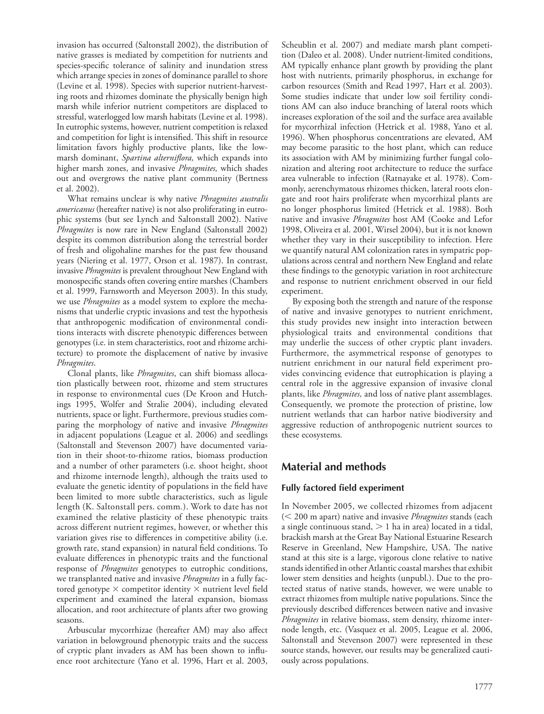invasion has occurred (Saltonstall 2002), the distribution of native grasses is mediated by competition for nutrients and species-specific tolerance of salinity and inundation stress which arrange species in zones of dominance parallel to shore (Levine et al. 1998). Species with superior nutrient-harvesting roots and rhizomes dominate the physically benign high marsh while inferior nutrient competitors are displaced to stressful, waterlogged low marsh habitats (Levine et al. 1998). In eutrophic systems, however, nutrient competition is relaxed and competition for light is intensified. This shift in resource limitation favors highly productive plants, like the lowmarsh dominant, *Spartina alterniflora*, which expands into higher marsh zones, and invasive *Phragmites,* which shades out and overgrows the native plant community (Bertness et al. 2002).

 What remains unclear is why native *Phragmites australis americanus* (hereafter native) is not also proliferating in eutrophic systems (but see Lynch and Saltonstall 2002). Native *Phragmites* is now rare in New England (Saltonstall 2002) despite its common distribution along the terrestrial border of fresh and oligohaline marshes for the past few thousand years (Niering et al. 1977, Orson et al. 1987). In contrast, invasive *Phragmites* is prevalent throughout New England with monospecific stands often covering entire marshes (Chambers et al. 1999, Farnsworth and Meyerson 2003). In this study, we use *Phragmites* as a model system to explore the mechanisms that underlie cryptic invasions and test the hypothesis that anthropogenic modification of environmental conditions interacts with discrete phenotypic differences between genotypes (i.e. in stem characteristics, root and rhizome architecture) to promote the displacement of native by invasive *Phragmites* .

 Clonal plants, like *Phragmites* , can shift biomass allocation plastically between root, rhizome and stem structures in response to environmental cues (De Kroon and Hutchings 1995, Wolfer and Stralie 2004), including elevated nutrients, space or light. Furthermore, previous studies comparing the morphology of native and invasive *Phragmites* in adjacent populations (League et al. 2006) and seedlings (Saltonstall and Stevenson 2007) have documented variation in their shoot-to-rhizome ratios, biomass production and a number of other parameters (i.e. shoot height, shoot and rhizome internode length), although the traits used to evaluate the genetic identity of populations in the field have been limited to more subtle characteristics, such as ligule length (K. Saltonstall pers. comm.). Work to date has not examined the relative plasticity of these phenotypic traits across different nutrient regimes, however, or whether this variation gives rise to differences in competitive ability (i.e. growth rate, stand expansion) in natural field conditions. To evaluate differences in phenotypic traits and the functional response of *Phragmites* genotypes to eutrophic conditions, we transplanted native and invasive *Phragmites* in a fully factored genotype  $\times$  competitor identity  $\times$  nutrient level field experiment and examined the lateral expansion, biomass allocation, and root architecture of plants after two growing seasons.

Arbuscular mycorrhizae (hereafter AM) may also affect variation in belowground phenotypic traits and the success of cryptic plant invaders as AM has been shown to influence root architecture (Yano et al. 1996, Hart et al. 2003, Scheublin et al. 2007) and mediate marsh plant competition (Daleo et al. 2008). Under nutrient-limited conditions, AM typically enhance plant growth by providing the plant host with nutrients, primarily phosphorus, in exchange for carbon resources (Smith and Read 1997, Hart et al. 2003). Some studies indicate that under low soil fertility conditions AM can also induce branching of lateral roots which increases exploration of the soil and the surface area available for mycorrhizal infection (Hetrick et al. 1988, Yano et al. 1996). When phosphorus concentrations are elevated, AM may become parasitic to the host plant, which can reduce its association with AM by minimizing further fungal colonization and altering root architecture to reduce the surface area vulnerable to infection (Ratnayake et al. 1978). Commonly, aerenchymatous rhizomes thicken, lateral roots elongate and root hairs proliferate when mycorrhizal plants are no longer phosphorus limited (Hetrick et al. 1988). Both native and invasive *Phragmites* host AM (Cooke and Lefor 1998, Oliveira et al. 2001, Wirsel 2004), but it is not known whether they vary in their susceptibility to infection. Here we quantify natural AM colonization rates in sympatric populations across central and northern New England and relate these findings to the genotypic variation in root architecture and response to nutrient enrichment observed in our field experiment.

 By exposing both the strength and nature of the response of native and invasive genotypes to nutrient enrichment, this study provides new insight into interaction between physiological traits and environmental conditions that may underlie the success of other cryptic plant invaders. Furthermore, the asymmetrical response of genotypes to nutrient enrichment in our natural field experiment provides convincing evidence that eutrophication is playing a central role in the aggressive expansion of invasive clonal plants, like *Phragmites,* and loss of native plant assemblages. Consequently, we promote the protection of pristine, low nutrient wetlands that can harbor native biodiversity and aggressive reduction of anthropogenic nutrient sources to these ecosystems *.*

## **Material and methods**

### **Fully factored field experiment**

 In November 2005, we collected rhizomes from adjacent ( 200 m apart) native and invasive *Phragmites* stands (each a single continuous stand,  $> 1$  ha in area) located in a tidal, brackish marsh at the Great Bay National Estuarine Research Reserve in Greenland, New Hampshire, USA. The native stand at this site is a large, vigorous clone relative to native stands identified in other Atlantic coastal marshes that exhibit lower stem densities and heights (unpubl.). Due to the protected status of native stands, however, we were unable to extract rhizomes from multiple native populations. Since the previously described differences between native and invasive *Phragmites* in relative biomass, stem density, rhizome internode length, etc. (Vasquez et al. 2005, League et al. 2006, Saltonstall and Stevenson 2007) were represented in these source stands, however, our results may be generalized cautiously across populations.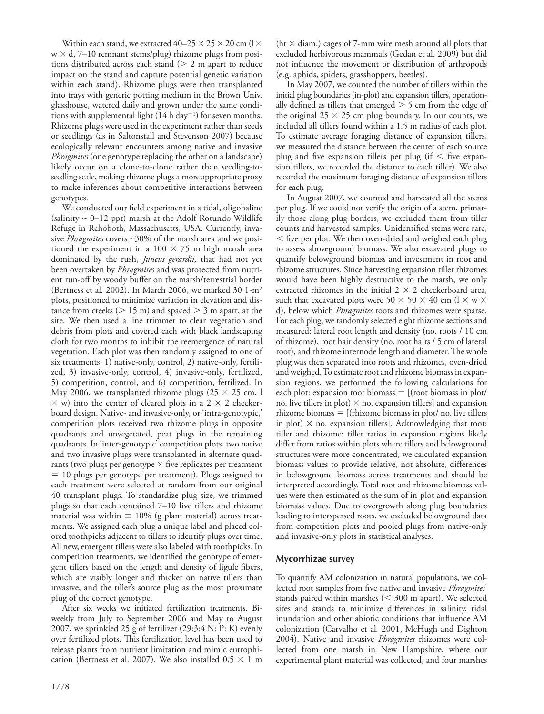Within each stand, we extracted  $40-25 \times 25 \times 20$  cm (l  $\times$  $w \times d$ , 7-10 remnant stems/plug) rhizome plugs from positions distributed across each stand ( $> 2$  m apart to reduce impact on the stand and capture potential genetic variation within each stand). Rhizome plugs were then transplanted into trays with generic potting medium in the Brown Univ. glasshouse, watered daily and grown under the same conditions with supplemental light  $(14 \text{ h day}^{-1})$  for seven months. Rhizome plugs were used in the experiment rather than seeds or seedlings (as in Saltonstall and Stevenson 2007) because ecologically relevant encounters among native and invasive *Phragmites* (one genotype replacing the other on a landscape) likely occur on a clone-to-clone rather than seedling-toseedling scale, making rhizome plugs a more appropriate proxy to make inferences about competitive interactions between genotypes.

We conducted our field experiment in a tidal, oligohaline (salinity ~ 0–12 ppt) marsh at the Adolf Rotundo Wildlife Refuge in Rehoboth, Massachusetts, USA. Currently, invasive *Phragmites* covers ~30% of the marsh area and we positioned the experiment in a 100  $\times$  75 m high marsh area dominated by the rush, *Juncus gerardii,* that had not yet been overtaken by *Phragmites* and was protected from nutrient run-off by woody buffer on the marsh/terrestrial border (Bertness et al. 2002). In March 2006, we marked 30 1-m<sup>2</sup> plots, positioned to minimize variation in elevation and distance from creeks ( $> 15$  m) and spaced  $> 3$  m apart, at the site. We then used a line trimmer to clear vegetation and debris from plots and covered each with black landscaping cloth for two months to inhibit the reemergence of natural vegetation. Each plot was then randomly assigned to one of six treatments: 1) native-only, control, 2) native-only, fertilized, 3) invasive-only, control, 4) invasive-only, fertilized, 5) competition, control, and 6) competition, fertilized. In May 2006, we transplanted rhizome plugs ( $25 \times 25$  cm, l  $\times$  w) into the center of cleared plots in a 2  $\times$  2 checkerboard design. Native- and invasive-only, or 'intra-genotypic,' competition plots received two rhizome plugs in opposite quadrants and unvegetated, peat plugs in the remaining quadrants. In 'inter-genotypic' competition plots, two native and two invasive plugs were transplanted in alternate quadrants (two plugs per genotype  $\times$  five replicates per treatment 10 plugs per genotype per treatment). Plugs assigned to each treatment were selected at random from our original 40 transplant plugs. To standardize plug size, we trimmed plugs so that each contained 7–10 live tillers and rhizome material was within  $\pm$  10% (g plant material) across treatments. We assigned each plug a unique label and placed colored toothpicks adjacent to tillers to identify plugs over time. All new, emergent tillers were also labeled with toothpicks. In competition treatments, we identified the genotype of emergent tillers based on the length and density of ligule fibers, which are visibly longer and thicker on native tillers than invasive, and the tiller's source plug as the most proximate plug of the correct genotype.

 After six weeks we initiated fertilization treatments. Biweekly from July to September 2006 and May to August 2007, we sprinkled 25 g of fertilizer (29:3:4 N: P: K) evenly over fertilized plots. This fertilization level has been used to release plants from nutrient limitation and mimic eutrophication (Bertness et al. 2007). We also installed 0.5  $\times$  1 m

 $(ht \times diam.)$  cages of 7-mm wire mesh around all plots that excluded herbivorous mammals (Gedan et al. 2009) but did not influence the movement or distribution of arthropods (e.g. aphids, spiders, grasshoppers, beetles).

 In May 2007, we counted the number of tillers within the initial plug boundaries (in-plot) and expansion tillers, operationally defined as tillers that emerged  $> 5$  cm from the edge of the original  $25 \times 25$  cm plug boundary. In our counts, we included all tillers found within a 1.5 m radius of each plot. To estimate average foraging distance of expansion tillers, we measured the distance between the center of each source plug and five expansion tillers per plug (if  $<$  five expansion tillers, we recorded the distance to each tiller). We also recorded the maximum foraging distance of expansion tillers for each plug.

 In August 2007, we counted and harvested all the stems per plug. If we could not verify the origin of a stem, primarily those along plug borders, we excluded them from tiller counts and harvested samples. Unidentified stems were rare,  $<$  five per plot. We then oven-dried and weighed each plug to assess aboveground biomass. We also excavated plugs to quantify belowground biomass and investment in root and rhizome structures. Since harvesting expansion tiller rhizomes would have been highly destructive to the marsh, we only extracted rhizomes in the initial  $2 \times 2$  checkerboard area, such that excavated plots were  $50 \times 50 \times 40$  cm (l  $\times w \times$ d), below which *Phragmites* roots and rhizomes were sparse. For each plug, we randomly selected eight rhizome sections and measured: lateral root length and density (no. roots / 10 cm of rhizome), root hair density (no. root hairs / 5 cm of lateral root), and rhizome internode length and diameter. The whole plug was then separated into roots and rhizomes, oven-dried and weighed. To estimate root and rhizome biomass in expansion regions, we performed the following calculations for each plot: expansion root biomass  $=$  [(root biomass in plot/ no. live tillers in plot)  $\times$  no. expansion tillers] and expansion rhizome biomass  $=$  [(rhizome biomass in plot/ no. live tillers in plot)  $\times$  no. expansion tillers]. Acknowledging that root: tiller and rhizome: tiller ratios in expansion regions likely differ from ratios within plots where tillers and belowground structures were more concentrated, we calculated expansion biomass values to provide relative, not absolute, differences in belowground biomass across treatments and should be interpreted accordingly. Total root and rhizome biomass values were then estimated as the sum of in-plot and expansion biomass values. Due to overgrowth along plug boundaries leading to interspersed roots, we excluded belowground data from competition plots and pooled plugs from native-only and invasive-only plots in statistical analyses.

#### **Mycorrhizae survey**

 To quantify AM colonization in natural populations, we collected root samples from five native and invasive *Phragmites'* stands paired within marshes ( $\leq$  300 m apart). We selected sites and stands to minimize differences in salinity, tidal inundation and other abiotic conditions that influence AM colonization (Carvalho et al *.* 2001, McHugh and Dighton 2004). Native and invasive *Phragmites* rhizomes were collected from one marsh in New Hampshire, where our experimental plant material was collected, and four marshes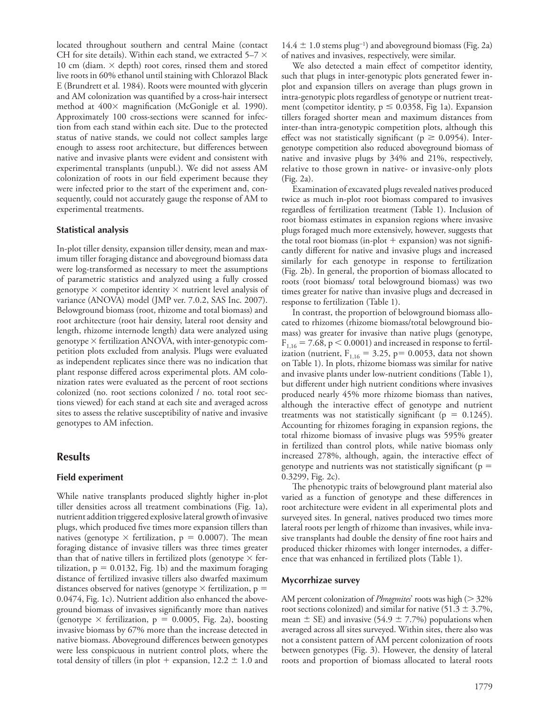located throughout southern and central Maine (contact CH for site details). Within each stand, we extracted 5-7  $\times$ 10 cm (diam.  $\times$  depth) root cores, rinsed them and stored live roots in 60% ethanol until staining with Chlorazol Black E (Brundrett et al. 1984). Roots were mounted with glycerin and AM colonization was quantified by a cross-hair intersect method at  $400 \times$  magnification (McGonigle et al. 1990). Approximately 100 cross-sections were scanned for infection from each stand within each site. Due to the protected status of native stands, we could not collect samples large enough to assess root architecture, but differences between native and invasive plants were evident and consistent with experimental transplants (unpubl.). We did not assess AM colonization of roots in our field experiment because they were infected prior to the start of the experiment and, consequently, could not accurately gauge the response of AM to experimental treatments.

#### **Statistical analysis**

 In-plot tiller density, expansion tiller density, mean and maximum tiller foraging distance and aboveground biomass data were log-transformed as necessary to meet the assumptions of parametric statistics and analyzed using a fully crossed genotype  $\times$  competitor identity  $\times$  nutrient level analysis of variance (ANOVA) model (JMP ver. 7.0.2, SAS Inc. 2007). Belowground biomass (root, rhizome and total biomass) and root architecture (root hair density, lateral root density and length, rhizome internode length) data were analyzed using genotype  $\times$  fertilization ANOVA, with inter-genotypic competition plots excluded from analysis. Plugs were evaluated as independent replicates since there was no indication that plant response differed across experimental plots. AM colonization rates were evaluated as the percent of root sections colonized (no. root sections colonized / no. total root sections viewed) for each stand at each site and averaged across sites to assess the relative susceptibility of native and invasive genotypes to AM infection.

## **Results**

#### **Field experiment**

 While native transplants produced slightly higher in-plot tiller densities across all treatment combinations (Fig. 1a), nutrient addition triggered explosive lateral growth of invasive plugs, which produced five times more expansion tillers than natives (genotype  $\times$  fertilization, p = 0.0007). The mean foraging distance of invasive tillers was three times greater than that of native tillers in fertilized plots (genotype  $\times$  fertilization,  $p = 0.0132$ , Fig. 1b) and the maximum foraging distance of fertilized invasive tillers also dwarfed maximum distances observed for natives (genotype  $\times$  fertilization, p = 0.0474, Fig. 1c). Nutrient addition also enhanced the aboveground biomass of invasives significantly more than natives (genotype  $\times$  fertilization, p = 0.0005, Fig. 2a), boosting invasive biomass by 67% more than the increase detected in native biomass. Aboveground differences between genotypes were less conspicuous in nutrient control plots, where the total density of tillers (in plot  $+$  expansion, 12.2  $\pm$  1.0 and  $14.4 \pm 1.0$  stems plug<sup>-1</sup>) and aboveground biomass (Fig. 2a) of natives and invasives, respectively, were similar.

We also detected a main effect of competitor identity, such that plugs in inter-genotypic plots generated fewer inplot and expansion tillers on average than plugs grown in intra-genotypic plots regardless of genotype or nutrient treatment (competitor identity,  $p \le 0.0358$ , Fig 1a). Expansion tillers foraged shorter mean and maximum distances from inter-than intra-genotypic competition plots, although this effect was not statistically significant ( $p \ge 0.0954$ ). Intergenotype competition also reduced aboveground biomass of native and invasive plugs by 34% and 21%, respectively, relative to those grown in native- or invasive-only plots (Fig. 2a).

 Examination of excavated plugs revealed natives produced twice as much in-plot root biomass compared to invasives regardless of fertilization treatment (Table 1). Inclusion of root biomass estimates in expansion regions where invasive plugs foraged much more extensively, however, suggests that the total root biomass (in-plot + expansion) was not significantly different for native and invasive plugs and increased similarly for each genotype in response to fertilization (Fig. 2b). In general, the proportion of biomass allocated to roots (root biomass/ total belowground biomass) was two times greater for native than invasive plugs and decreased in response to fertilization (Table 1).

 In contrast, the proportion of belowground biomass allocated to rhizomes (rhizome biomass/total belowground biomass) was greater for invasive than native plugs (genotype,  $F_{1,16} = 7.68$ , p  $\leq 0.0001$ ) and increased in response to fertilization (nutrient,  $F_{1,16} = 3.25$ , p = 0.0053, data not shown on Table 1). In plots, rhizome biomass was similar for native and invasive plants under low-nutrient conditions (Table 1), but different under high nutrient conditions where invasives produced nearly 45% more rhizome biomass than natives, although the interactive effect of genotype and nutrient treatments was not statistically significant ( $p = 0.1245$ ). Accounting for rhizomes foraging in expansion regions, the total rhizome biomass of invasive plugs was 595% greater in fertilized than control plots, while native biomass only increased 278%, although, again, the interactive effect of genotype and nutrients was not statistically significant ( $p =$ 0.3299, Fig. 2c).

The phenotypic traits of belowground plant material also varied as a function of genotype and these differences in root architecture were evident in all experimental plots and surveyed sites. In general, natives produced two times more lateral roots per length of rhizome than invasives, while invasive transplants had double the density of fine root hairs and produced thicker rhizomes with longer internodes, a difference that was enhanced in fertilized plots (Table 1).

#### **Mycorrhizae survey**

AM percent colonization of *Phragmites*' roots was high (> 32% root sections colonized) and similar for native  $(51.3 \pm 3.7\%)$ , mean  $\pm$  SE) and invasive (54.9  $\pm$  7.7%) populations when averaged across all sites surveyed. Within sites, there also was not a consistent pattern of AM percent colonization of roots between genotypes (Fig. 3). However, the density of lateral roots and proportion of biomass allocated to lateral roots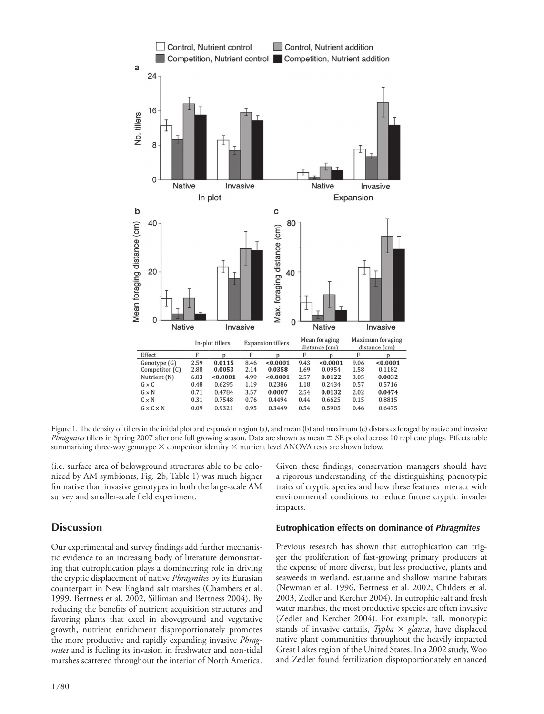

Figure 1. The density of tillers in the initial plot and expansion region (a), and mean (b) and maximum (c) distances foraged by native and invasive *Phragmites* tillers in Spring 2007 after one full growing season. Data are shown as mean  $\pm$  SE pooled across 10 replicate plugs. Effects table summarizing three-way genotype  $\times$  competitor identity  $\times$  nutrient level ANOVA tests are shown below.

(i.e. surface area of belowground structures able to be colonized by AM symbionts, Fig. 2b, Table 1) was much higher for native than invasive genotypes in both the large-scale AM survey and smaller-scale field experiment.

## **Discussion**

Our experimental and survey findings add further mechanistic evidence to an increasing body of literature demonstrating that eutrophication plays a domineering role in driving the cryptic displacement of native *Phragmites* by its Eurasian counterpart in New England salt marshes (Chambers et al. 1999, Bertness et al. 2002, Silliman and Bertness 2004). By reducing the benefits of nutrient acquisition structures and favoring plants that excel in aboveground and vegetative growth, nutrient enrichment disproportionately promotes the more productive and rapidly expanding invasive *Phragmites* and is fueling its invasion in freshwater and non-tidal marshes scattered throughout the interior of North America. Given these findings, conservation managers should have a rigorous understanding of the distinguishing phenotypic traits of cryptic species and how these features interact with environmental conditions to reduce future cryptic invader impacts.

### **Eutrophication effects on dominance of** *Phragmites*

 Previous research has shown that eutrophication can trigger the proliferation of fast-growing primary producers at the expense of more diverse, but less productive, plants and seaweeds in wetland, estuarine and shallow marine habitats (Newman et al. 1996, Bertness et al. 2002, Childers et al. 2003, Zedler and Kercher 2004). In eutrophic salt and fresh water marshes, the most productive species are often invasive (Zedler and Kercher 2004). For example, tall, monotypic stands of invasive cattails,  $Typha \times glauca$ , have displaced native plant communities throughout the heavily impacted Great Lakes region of the United States. In a 2002 study, Woo and Zedler found fertilization disproportionately enhanced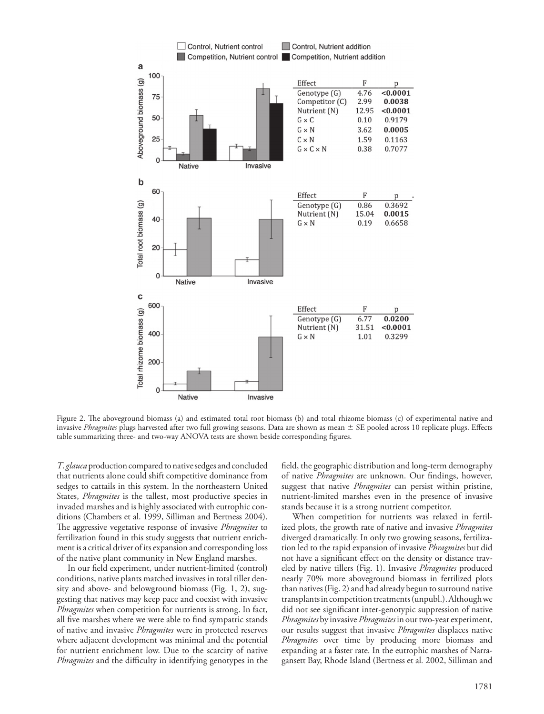

Figure 2. The aboveground biomass (a) and estimated total root biomass (b) and total rhizome biomass (c) of experimental native and invasive *Phragmites* plugs harvested after two full growing seasons. Data are shown as mean  $\pm$  SE pooled across 10 replicate plugs. Effects table summarizing three- and two-way ANOVA tests are shown beside corresponding figures.

*T* . *glauca* production compared to native sedges and concluded that nutrients alone could shift competitive dominance from sedges to cattails in this system. In the northeastern United States, *Phragmites* is the tallest, most productive species in invaded marshes and is highly associated with eutrophic conditions (Chambers et al. 1999, Silliman and Bertness 2004). The aggressive vegetative response of invasive *Phragmites* to fertilization found in this study suggests that nutrient enrichment is a critical driver of its expansion and corresponding loss of the native plant community in New England marshes.

In our field experiment, under nutrient-limited (control) conditions, native plants matched invasives in total tiller density and above- and belowground biomass (Fig. 1, 2), suggesting that natives may keep pace and coexist with invasive *Phragmites* when competition for nutrients is strong. In fact, all five marshes where we were able to find sympatric stands of native and invasive *Phragmites* were in protected reserves where adjacent development was minimal and the potential for nutrient enrichment low. Due to the scarcity of native *Phragmites* and the difficulty in identifying genotypes in the field, the geographic distribution and long-term demography of native *Phragmites* are unknown. Our findings, however, suggest that native *Phragmites* can persist within pristine, nutrient-limited marshes even in the presence of invasive stands because it is a strong nutrient competitor.

 When competition for nutrients was relaxed in fertilized plots, the growth rate of native and invasive *Phragmites* diverged dramatically. In only two growing seasons, fertilization led to the rapid expansion of invasive *Phragmites* but did not have a significant effect on the density or distance traveled by native tillers (Fig. 1). Invasive *Phragmites* produced nearly 70% more aboveground biomass in fertilized plots than natives (Fig. 2) and had already begun to surround native transplants in competition treatments (unpubl.). Although we did not see significant inter-genotypic suppression of native *Phragmites* by invasive *Phragmites* in our two-year experiment, our results suggest that invasive *Phragmites* displaces native *Phragmites* over time by producing more biomass and expanding at a faster rate. In the eutrophic marshes of Narragansett Bay, Rhode Island (Bertness et al *.* 2002, Silliman and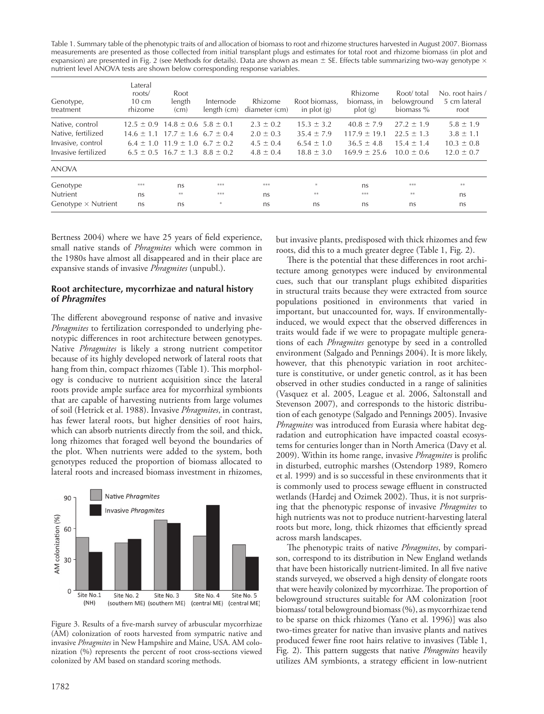Table 1. Summary table of the phenotypic traits of and allocation of biomass to root and rhizome structures harvested in August 2007. Biomass measurements are presented as those collected from initial transplant plugs and estimates for total root and rhizome biomass (in plot and expansion) are presented in Fig. 2 (see Methods for details). Data are shown as mean  $\pm$  SE. Effects table summarizing two-way genotype  $\times$ nutrient level ANOVA tests are shown below corresponding response variables.

| Genotype,<br>treatment     | Lateral<br>roots/<br>$10 \text{ cm}$<br>rhizome | Root<br>length<br>(cm)                      | Internode<br>length (cm) | Rhizome<br>diameter (cm) | Root biomass.<br>in $plot(g)$ | Rhizome<br>biomass, in<br>plot(g) | Root/total<br>belowground<br>biomass $%$ | No. root hairs /<br>5 cm lateral<br>root |
|----------------------------|-------------------------------------------------|---------------------------------------------|--------------------------|--------------------------|-------------------------------|-----------------------------------|------------------------------------------|------------------------------------------|
| Native, control            |                                                 | $12.5 \pm 0.9$ 14.8 $\pm$ 0.6 5.8 $\pm$ 0.1 |                          | $2.3 \pm 0.2$            | $15.3 \pm 3.2$                | $40.8 \pm 7.9$                    | $27.2 \pm 1.9$                           | $5.8 \pm 1.9$                            |
| Native, fertilized         |                                                 | $14.6 \pm 1.1$ $17.7 \pm 1.6$ $6.7 \pm 0.4$ |                          | $2.0 \pm 0.3$            | $35.4 \pm 7.9$                | $117.9 \pm 19.1$                  | $22.5 \pm 1.3$                           | $3.8 \pm 1.1$                            |
| Invasive, control          |                                                 | $6.4 \pm 1.0$ $11.9 \pm 1.0$ $6.7 \pm 0.2$  |                          | $4.5 \pm 0.4$            | $6.54 \pm 1.0$                | $36.5 \pm 4.8$                    | $15.4 \pm 1.4$                           | $10.3 \pm 0.8$                           |
| Invasive fertilized        |                                                 | $6.5 \pm 0.5$ 16.7 $\pm$ 1.3 8.8 $\pm$ 0.2  |                          | $4.8 \pm 0.4$            | $18.8 \pm 3.0$                | $169.9 \pm 25.6$                  | $10.0 \pm 0.6$                           | $12.0 \pm 0.7$                           |
| <b>ANOVA</b>               |                                                 |                                             |                          |                          |                               |                                   |                                          |                                          |
| Genotype                   | ***                                             | ns                                          | ***                      | ***                      | $\mathcal{L}$                 | ns                                | 光光光                                      | 米米                                       |
| Nutrient                   | ns                                              | $\pm\pm$                                    | ***                      | ns                       | $* *$                         | ***                               | **                                       | ns                                       |
| Genotype $\times$ Nutrient | ns                                              | ns                                          | $\ast$                   | ns                       | ns                            | ns                                | ns                                       | ns                                       |

Bertness 2004) where we have 25 years of field experience, small native stands of *Phragmites* which were common in the 1980s have almost all disappeared and in their place are expansive stands of invasive *Phragmites* (unpubl.).

#### **Root architecture, mycorrhizae and natural history of** *Phragmites*

The different aboveground response of native and invasive *Phragmites* to fertilization corresponded to underlying phenotypic differences in root architecture between genotypes. Native *Phragmites* is likely a strong nutrient competitor because of its highly developed network of lateral roots that hang from thin, compact rhizomes (Table 1). This morphology is conducive to nutrient acquisition since the lateral roots provide ample surface area for mycorrhizal symbionts that are capable of harvesting nutrients from large volumes of soil (Hetrick et al. 1988). Invasive *Phragmites* , in contrast, has fewer lateral roots, but higher densities of root hairs, which can absorb nutrients directly from the soil, and thick, long rhizomes that foraged well beyond the boundaries of the plot. When nutrients were added to the system, both genotypes reduced the proportion of biomass allocated to lateral roots and increased biomass investment in rhizomes,



Figure 3. Results of a five-marsh survey of arbuscular mycorrhizae (AM) colonization of roots harvested from sympatric native and invasive *Phragmites* in New Hampshire and Maine, USA. AM colonization (%) represents the percent of root cross-sections viewed colonized by AM based on standard scoring methods.

but invasive plants, predisposed with thick rhizomes and few roots, did this to a much greater degree (Table 1, Fig. 2).

There is the potential that these differences in root architecture among genotypes were induced by environmental cues, such that our transplant plugs exhibited disparities in structural traits because they were extracted from source populations positioned in environments that varied in important, but unaccounted for, ways. If environmentallyinduced, we would expect that the observed differences in traits would fade if we were to propagate multiple generations of each *Phragmites* genotype by seed in a controlled environment (Salgado and Pennings 2004). It is more likely, however, that this phenotypic variation in root architecture is constitutive, or under genetic control, as it has been observed in other studies conducted in a range of salinities (Vasquez et al. 2005, League et al. 2006, Saltonstall and Stevenson 2007), and corresponds to the historic distribution of each genotype (Salgado and Pennings 2005). Invasive *Phragmites* was introduced from Eurasia where habitat degradation and eutrophication have impacted coastal ecosystems for centuries longer than in North America (Davy et al *.* 2009). Within its home range, invasive *Phragmites* is prolific in disturbed, eutrophic marshes (Ostendorp 1989, Romero et al. 1999) and is so successful in these environments that it is commonly used to process sewage effluent in constructed wetlands (Hardej and Ozimek 2002). Thus, it is not surprising that the phenotypic response of invasive *Phragmites* to high nutrients was not to produce nutrient-harvesting lateral roots but more, long, thick rhizomes that efficiently spread across marsh landscapes.

The phenotypic traits of native *Phragmites*, by comparison, correspond to its distribution in New England wetlands that have been historically nutrient-limited. In all five native stands surveyed, we observed a high density of elongate roots that were heavily colonized by mycorrhizae. The proportion of belowground structures suitable for AM colonization [root biomass/ total belowground biomass (%), as mycorrhizae tend to be sparse on thick rhizomes (Yano et al. 1996)] was also two-times greater for native than invasive plants and natives produced fewer fine root hairs relative to invasives (Table 1, Fig. 2). This pattern suggests that native *Phragmites* heavily utilizes AM symbionts, a strategy efficient in low-nutrient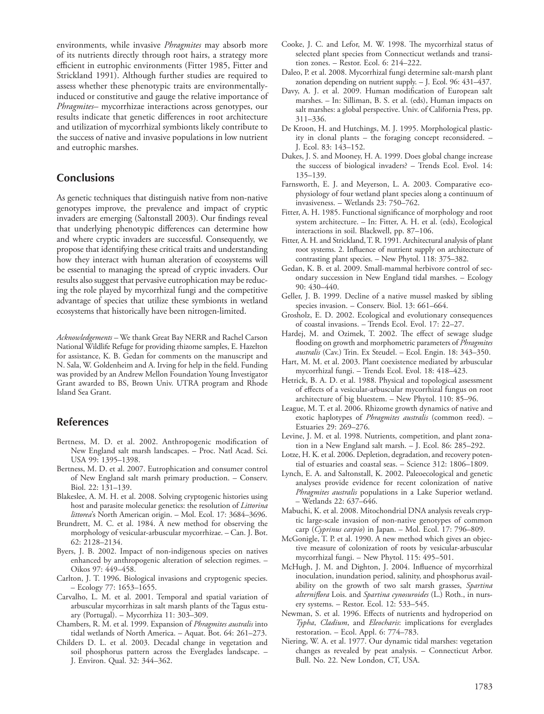environments, while invasive *Phragmites* may absorb more of its nutrients directly through root hairs, a strategy more efficient in eutrophic environments (Fitter 1985, Fitter and Strickland 1991). Although further studies are required to assess whether these phenotypic traits are environmentallyinduced or constitutive and gauge the relative importance of *Phragmites–* mycorrhizae interactions across genotypes, our results indicate that genetic differences in root architecture and utilization of mycorrhizal symbionts likely contribute to the success of native and invasive populations in low nutrient and eutrophic marshes.

## **Conclusions**

 As genetic techniques that distinguish native from non-native genotypes improve, the prevalence and impact of cryptic invaders are emerging (Saltonstall 2003). Our findings reveal that underlying phenotypic differences can determine how and where cryptic invaders are successful. Consequently, we propose that identifying these critical traits and understanding how they interact with human alteration of ecosystems will be essential to managing the spread of cryptic invaders. Our results also suggest that pervasive eutrophication may be reducing the role played by mycorrhizal fungi and the competitive advantage of species that utilize these symbionts in wetland ecosystems that historically have been nitrogen-limited.

 *Acknowledgements –* We thank Great Bay NERR and Rachel Carson National Wildlife Refuge for providing rhizome samples, E. Hazelton for assistance, K. B. Gedan for comments on the manuscript and N. Sala, W. Goldenheim and A. Irving for help in the field. Funding was provided by an Andrew Mellon Foundation Young Investigator Grant awarded to BS, Brown Univ. UTRA program and Rhode Island Sea Grant.

## **References**

- Bertness, M. D. et al. 2002. Anthropogenic modification of New England salt marsh landscapes. – Proc. Natl Acad. Sci. USA 99: 1395-1398.
- Bertness, M. D. et al. 2007. Eutrophication and consumer control of New England salt marsh primary production. – Conserv. Biol. 22: 131-139.
- Blakeslee, A. M. H. et al. 2008. Solving cryptogenic histories using host and parasite molecular genetics: the resolution of *Littorina*  littorea<sup>'</sup>s North American origin. - Mol. Ecol. 17: 3684-3696.
- Brundrett, M. C. et al. 1984. A new method for observing the morphology of vesicular-arbuscular mycorrhizae. – Can. J. Bot. 62: 2128-2134.
- Byers, J. B. 2002. Impact of non-indigenous species on natives enhanced by anthropogenic alteration of selection regimes. – Oikos 97: 449–458.
- Carlton, J. T. 1996. Biological invasions and cryptogenic species. – Ecology 77: 1653 – 1655.
- Carvalho, L. M. et al. 2001. Temporal and spatial variation of arbuscular mycorrhizas in salt marsh plants of the Tagus estuary (Portugal). - Mycorrhiza 11: 303-309.
- Chambers, R. M. et al. 1999. Expansion of *Phragmites australis* into tidal wetlands of North America. - Aquat. Bot. 64: 261-273.
- Childers D. L. et al. 2003. Decadal change in vegetation and soil phosphorus pattern across the Everglades landscape. – J. Environ. Qual. 32: 344-362.
- Cooke, J. C. and Lefor, M. W. 1998. The mycorrhizal status of selected plant species from Connecticut wetlands and transition zones. – Restor. Ecol. 6: 214–222.
- Daleo, P. et al. 2008. Mycorrhizal fungi determine salt-marsh plant zonation depending on nutrient supply. - J. Ecol. 96: 431-437.
- Davy, A. J. et al. 2009. Human modification of European salt marshes. – In: Silliman, B. S. et al. (eds), Human impacts on salt marshes: a global perspective. Univ. of California Press, pp. 311 – 336.
- De Kroon, H. and Hutchings, M. J. 1995. Morphological plasticity in clonal plants – the foraging concept reconsidered. – J. Ecol. 83: 143-152.
- Dukes, J. S. and Mooney, H. A. 1999. Does global change increase the success of biological invaders? – Trends Ecol. Evol. 14: 135 – 139.
- Farnsworth, E. J. and Meyerson, L. A. 2003. Comparative ecophysiology of four wetland plant species along a continuum of invasiveness. – Wetlands 23: 750–762.
- Fitter, A. H. 1985. Functional significance of morphology and root system architecture. – In: Fitter, A. H. et al. (eds), Ecological interactions in soil. Blackwell, pp. 87-106.
- Fitter, A. H. and Strickland, T. R. 1991. Architectural analysis of plant root systems. 2. Influence of nutrient supply on architecture of contrasting plant species. – New Phytol. 118: 375–382.
- Gedan, K. B. et al. 2009. Small-mammal herbivore control of secondary succession in New England tidal marshes. – Ecology 90: 430 – 440.
- Geller, J. B. 1999. Decline of a native mussel masked by sibling species invasion. – Conserv. Biol. 13: 661–664.
- Grosholz, E. D. 2002. Ecological and evolutionary consequences of coastal invasions. - Trends Ecol. Evol. 17: 22-27.
- Hardej, M. and Ozimek, T. 2002. The effect of sewage sludge flooding on growth and morphometric parameters of *Phragmites australis* (Cav.) Trin. Ex Steudel. - Ecol. Engin. 18: 343-350.
- Hart, M. M. et al. 2003. Plant coexistence mediated by arbuscular mycorrhizal fungi. – Trends Ecol. Evol. 18: 418–423.
- Hetrick, B. A. D. et al. 1988. Physical and topological assessment of effects of a vesicular-arbuscular mycorrhizal fungus on root architecture of big bluestem. - New Phytol. 110: 85-96.
- League, M. T. et al. 2006. Rhizome growth dynamics of native and exotic haplotypes of *Phragmites australis* (common reed). – Estuaries 29: 269-276.
- Levine, J. M. et al. 1998. Nutrients, competition, and plant zonation in a New England salt marsh. - J. Ecol. 86: 285-292.
- Lotze, H. K. et al. 2006. Depletion, degradation, and recovery potential of estuaries and coastal seas.  $-$  Science 312: 1806–1809.
- Lynch, E. A. and Saltonstall, K. 2002. Paleoecological and genetic analyses provide evidence for recent colonization of native *Phragmites australis* populations in a Lake Superior wetland. – Wetlands 22: 637 – 646.
- Mabuchi, K. et al. 2008. Mitochondrial DNA analysis reveals cryptic large-scale invasion of non-native genotypes of common carp ( *Cyprinus carpio*) in Japan. – Mol. Ecol. 17: 796–809.
- McGonigle, T. P. et al. 1990. A new method which gives an objective measure of colonization of roots by vesicular-arbuscular mycorrhizal fungi. - New Phytol. 115: 495-501.
- McHugh, J. M. and Dighton, J. 2004. Influence of mycorrhizal inoculation, inundation period, salinity, and phosphorus availability on the growth of two salt marsh grasses, *Spartina alterniflora* Lois. and *Spartina cynosuroides* (L.) Roth., in nursery systems. - Restor. Ecol. 12: 533-545.
- Newman, S. et al. 1996. Effects of nutrients and hydroperiod on *Typha*, *Cladium*, and *Eleocharis*: implications for everglades restoration. – Ecol. Appl. 6: 774–783.
- Niering, W. A. et al. 1977. Our dynamic tidal marshes: vegetation changes as revealed by peat analysis. – Connecticut Arbor. Bull. No. 22. New London, CT, USA.